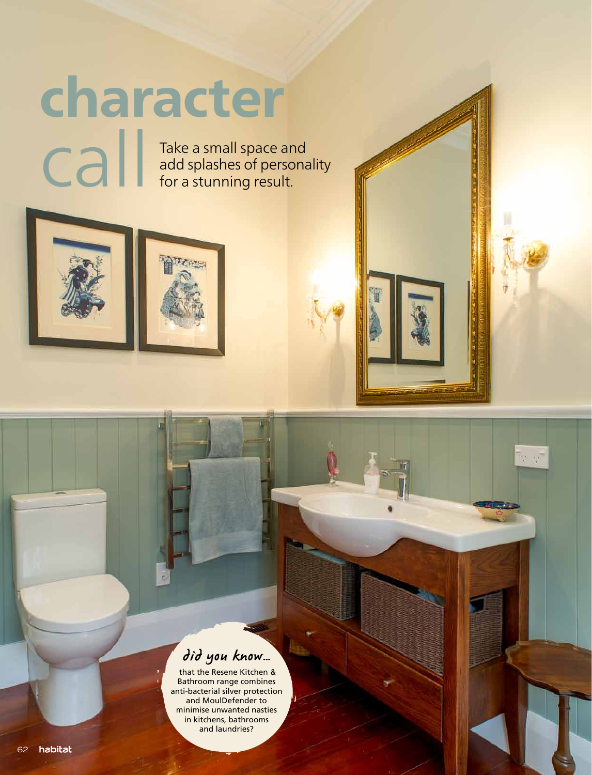## character

Call Take a small space and<br>dd splashes of personation<br>for a stunning result. add splashes of personality for a stunning result.



## did you know…

 that the Resene Kitchen & Bathroom range combines anti-bacterial silver protection and MoulDefender to minimise unwanted nasties in kitchens, bathrooms and laundries?